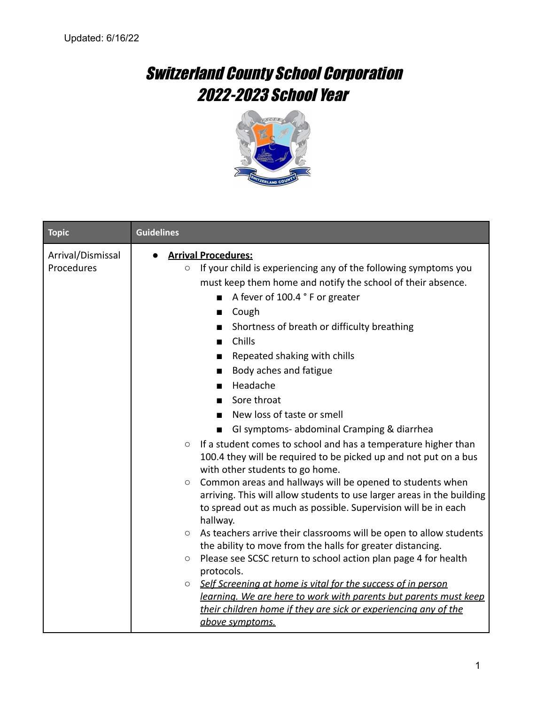## Switzerland County School Corporation 2022-2023 School Year



| <b>Topic</b>                    | <b>Guidelines</b>                                                                                                                                                                                                                                                                                                                                                                                                                                                                                                                                                                                                                                                                                                                                                                                                                                                                                                                                                                                                                                                                                                                                                                                                                                                                                                                                                                                                                         |
|---------------------------------|-------------------------------------------------------------------------------------------------------------------------------------------------------------------------------------------------------------------------------------------------------------------------------------------------------------------------------------------------------------------------------------------------------------------------------------------------------------------------------------------------------------------------------------------------------------------------------------------------------------------------------------------------------------------------------------------------------------------------------------------------------------------------------------------------------------------------------------------------------------------------------------------------------------------------------------------------------------------------------------------------------------------------------------------------------------------------------------------------------------------------------------------------------------------------------------------------------------------------------------------------------------------------------------------------------------------------------------------------------------------------------------------------------------------------------------------|
| Arrival/Dismissal<br>Procedures | <b>Arrival Procedures:</b><br>If your child is experiencing any of the following symptoms you<br>$\circ$<br>must keep them home and notify the school of their absence.<br>A fever of 100.4 ° F or greater<br>$\Box$ Cough<br>Shortness of breath or difficulty breathing<br>Chills<br>$\blacksquare$<br>Repeated shaking with chills<br>Body aches and fatigue<br>Headache<br>$\mathcal{L}(\mathcal{A})$<br>Sore throat<br>$\mathcal{L}_{\mathcal{A}}$<br>New loss of taste or smell<br>GI symptoms- abdominal Cramping & diarrhea<br>If a student comes to school and has a temperature higher than<br>$\circ$<br>100.4 they will be required to be picked up and not put on a bus<br>with other students to go home.<br>Common areas and hallways will be opened to students when<br>$\circ$<br>arriving. This will allow students to use larger areas in the building<br>to spread out as much as possible. Supervision will be in each<br>hallway.<br>As teachers arrive their classrooms will be open to allow students<br>$\circ$<br>the ability to move from the halls for greater distancing.<br>Please see SCSC return to school action plan page 4 for health<br>$\bigcirc$<br>protocols.<br>Self Screening at home is vital for the success of in person<br>$\circ$<br>learning. We are here to work with parents but parents must keep<br>their children home if they are sick or experiencing any of the<br>above symptoms. |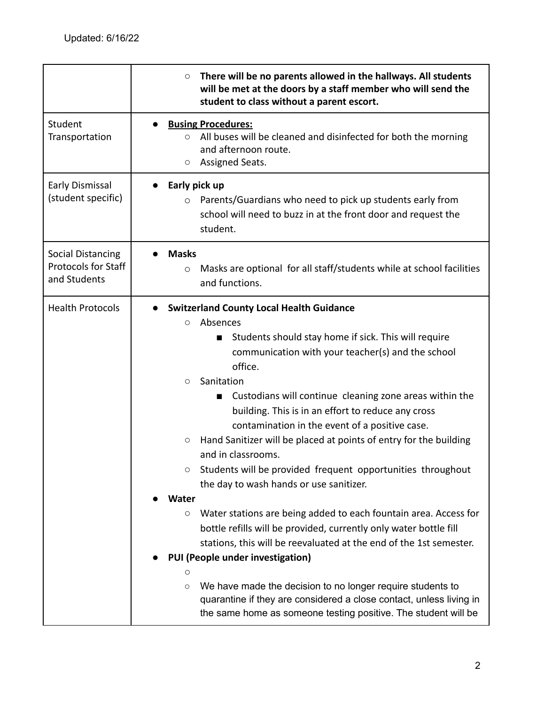|                                                                        | There will be no parents allowed in the hallways. All students<br>$\bigcirc$<br>will be met at the doors by a staff member who will send the<br>student to class without a parent escort.                                                                                                                                                                                                                                                                                                                                                                                                                                                                                                                                                                                                                                                                                                                                                                                                                                                                                                                                  |
|------------------------------------------------------------------------|----------------------------------------------------------------------------------------------------------------------------------------------------------------------------------------------------------------------------------------------------------------------------------------------------------------------------------------------------------------------------------------------------------------------------------------------------------------------------------------------------------------------------------------------------------------------------------------------------------------------------------------------------------------------------------------------------------------------------------------------------------------------------------------------------------------------------------------------------------------------------------------------------------------------------------------------------------------------------------------------------------------------------------------------------------------------------------------------------------------------------|
| Student<br>Transportation                                              | <b>Busing Procedures:</b><br>●<br>All buses will be cleaned and disinfected for both the morning<br>$\circ$<br>and afternoon route.<br>Assigned Seats.<br>О                                                                                                                                                                                                                                                                                                                                                                                                                                                                                                                                                                                                                                                                                                                                                                                                                                                                                                                                                                |
| Early Dismissal<br>(student specific)                                  | Early pick up<br>Parents/Guardians who need to pick up students early from<br>$\circ$<br>school will need to buzz in at the front door and request the<br>student.                                                                                                                                                                                                                                                                                                                                                                                                                                                                                                                                                                                                                                                                                                                                                                                                                                                                                                                                                         |
| <b>Social Distancing</b><br><b>Protocols for Staff</b><br>and Students | <b>Masks</b><br>Masks are optional for all staff/students while at school facilities<br>$\circ$<br>and functions.                                                                                                                                                                                                                                                                                                                                                                                                                                                                                                                                                                                                                                                                                                                                                                                                                                                                                                                                                                                                          |
| <b>Health Protocols</b>                                                | <b>Switzerland County Local Health Guidance</b><br>Absences<br>O<br>Students should stay home if sick. This will require<br>communication with your teacher(s) and the school<br>office.<br>Sanitation<br>O<br>Custodians will continue cleaning zone areas within the<br>$\blacksquare$<br>building. This is in an effort to reduce any cross<br>contamination in the event of a positive case.<br>Hand Sanitizer will be placed at points of entry for the building<br>O<br>and in classrooms.<br>Students will be provided frequent opportunities throughout<br>О<br>the day to wash hands or use sanitizer.<br><b>Water</b><br>Water stations are being added to each fountain area. Access for<br>$\bigcirc$<br>bottle refills will be provided, currently only water bottle fill<br>stations, this will be reevaluated at the end of the 1st semester.<br>PUI (People under investigation)<br>О<br>We have made the decision to no longer require students to<br>$\bigcirc$<br>quarantine if they are considered a close contact, unless living in<br>the same home as someone testing positive. The student will be |